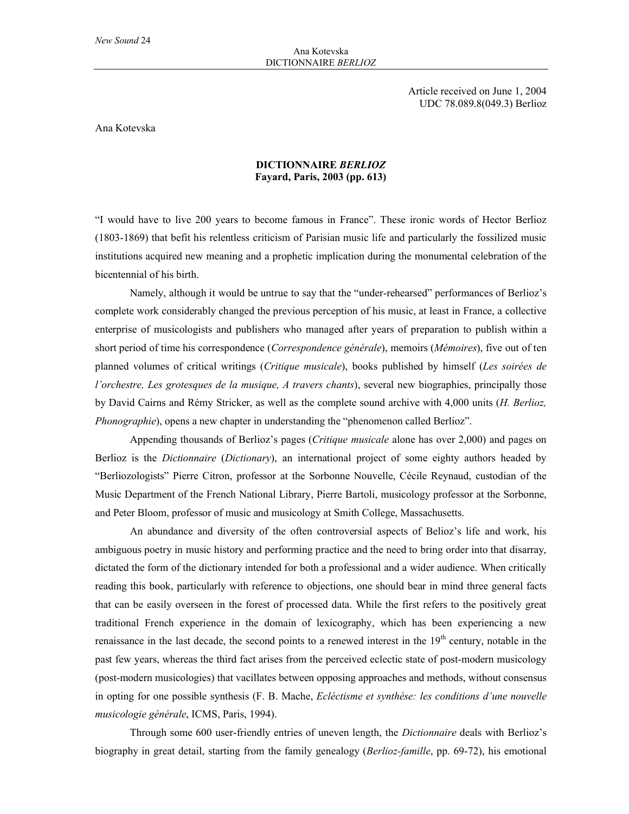Article received on June 1, 2004 UDC 78.089.8(049.3) Berlioz

Ana Kotevska

## **DICTIONNAIRE** *BERLIOZ* **Fayard, Paris, 2003 (pp. 613)**

"I would have to live 200 years to become famous in France". These ironic words of Hector Berlioz (1803-1869) that befit his relentless criticism of Parisian music life and particularly the fossilized music institutions acquired new meaning and a prophetic implication during the monumental celebration of the bicentennial of his birth.

Namely, although it would be untrue to say that the "under-rehearsed" performances of Berlioz's complete work considerably changed the previous perception of his music, at least in France, a collective enterprise of musicologists and publishers who managed after years of preparation to publish within a short period of time his correspondence (*Correspondence générale*), memoirs (*Mémoires*), five out of ten planned volumes of critical writings (*Critique musicale*), books published by himself (*Les soirées de l'orchestre, Les grotesques de la musique, A travers chants*), several new biographies, principally those by David Cairns and Rémy Stricker, as well as the complete sound archive with 4,000 units (*H. Berlioz, Phonographie*), opens a new chapter in understanding the "phenomenon called Berlioz".

Appending thousands of Berlioz's pages (*Critique musicale* alone has over 2,000) and pages on Berlioz is the *Dictionnaire* (*Dictionary*), an international project of some eighty authors headed by "Berliozologists" Pierre Citron, professor at the Sorbonne Nouvelle, Cécile Reynaud, custodian of the Music Department of the French National Library, Pierre Bartoli, musicology professor at the Sorbonne, and Peter Bloom, professor of music and musicology at Smith College, Massachusetts.

An abundance and diversity of the often controversial aspects of Belioz's life and work, his ambiguous poetry in music history and performing practice and the need to bring order into that disarray, dictated the form of the dictionary intended for both a professional and a wider audience. When critically reading this book, particularly with reference to objections, one should bear in mind three general facts that can be easily overseen in the forest of processed data. While the first refers to the positively great traditional French experience in the domain of lexicography, which has been experiencing a new renaissance in the last decade, the second points to a renewed interest in the 19<sup>th</sup> century, notable in the past few years, whereas the third fact arises from the perceived eclectic state of post-modern musicology (post-modern musicologies) that vacillates between opposing approaches and methods, without consensus in opting for one possible synthesis (F. B. Mache, *Ecléctisme et synthèse: les conditions d'une nouvelle musicologie générale*, ICMS, Paris, 1994).

Through some 600 user-friendly entries of uneven length, the *Dictionnaire* deals with Berlioz's biography in great detail, starting from the family genealogy (*Berlioz-famille*, pp. 69-72), his emotional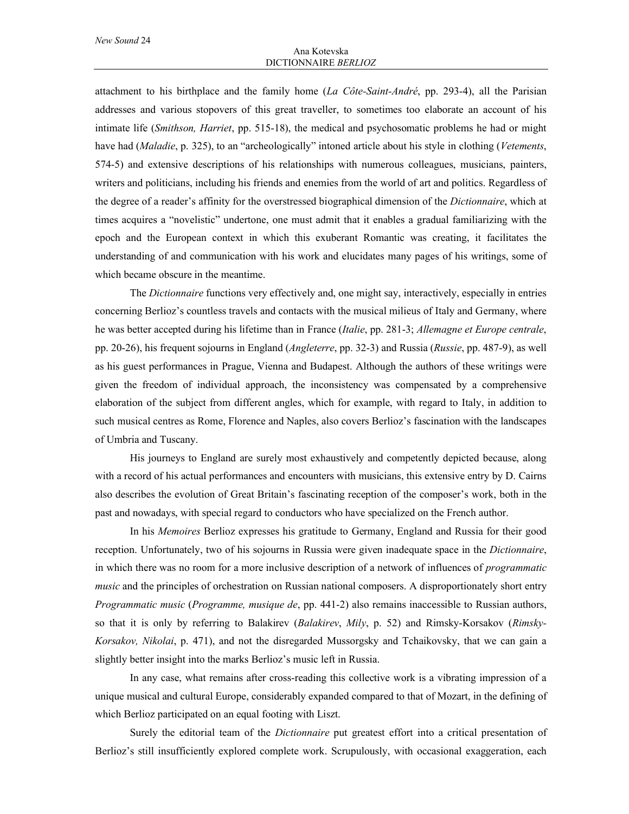attachment to his birthplace and the family home (*La Côte-Saint-André*, pp. 293-4), all the Parisian addresses and various stopovers of this great traveller, to sometimes too elaborate an account of his intimate life (*Smithson, Harriet*, pp. 515-18), the medical and psychosomatic problems he had or might have had (*Maladie*, p. 325), to an "archeologically" intoned article about his style in clothing (*Vetements*, 574-5) and extensive descriptions of his relationships with numerous colleagues, musicians, painters, writers and politicians, including his friends and enemies from the world of art and politics. Regardless of the degree of a reader's affinity for the overstressed biographical dimension of the *Dictionnaire*, which at times acquires a "novelistic" undertone, one must admit that it enables a gradual familiarizing with the epoch and the European context in which this exuberant Romantic was creating, it facilitates the understanding of and communication with his work and elucidates many pages of his writings, some of which became obscure in the meantime.

The *Dictionnaire* functions very effectively and, one might say, interactively, especially in entries concerning Berlioz's countless travels and contacts with the musical milieus of Italy and Germany, where he was better accepted during his lifetime than in France (*Italie*, pp. 281-3; *Allemagne et Europe centrale*, pp. 20-26), his frequent sojourns in England (*Angleterre*, pp. 32-3) and Russia (*Russie*, pp. 487-9), as well as his guest performances in Prague, Vienna and Budapest. Although the authors of these writings were given the freedom of individual approach, the inconsistency was compensated by a comprehensive elaboration of the subject from different angles, which for example, with regard to Italy, in addition to such musical centres as Rome, Florence and Naples, also covers Berlioz's fascination with the landscapes of Umbria and Tuscany.

His journeys to England are surely most exhaustively and competently depicted because, along with a record of his actual performances and encounters with musicians, this extensive entry by D. Cairns also describes the evolution of Great Britain's fascinating reception of the composer's work, both in the past and nowadays, with special regard to conductors who have specialized on the French author.

In his *Memoires* Berlioz expresses his gratitude to Germany, England and Russia for their good reception. Unfortunately, two of his sojourns in Russia were given inadequate space in the *Dictionnaire*, in which there was no room for a more inclusive description of a network of influences of *programmatic music* and the principles of orchestration on Russian national composers. A disproportionately short entry *Programmatic music* (*Programme, musique de*, pp. 441-2) also remains inaccessible to Russian authors, so that it is only by referring to Balakirev (*Balakirev*, *Mily*, p. 52) and Rimsky-Korsakov (*Rimsky-Korsakov, Nikolai*, p. 471), and not the disregarded Mussorgsky and Tchaikovsky, that we can gain a slightly better insight into the marks Berlioz's music left in Russia.

In any case, what remains after cross-reading this collective work is a vibrating impression of a unique musical and cultural Europe, considerably expanded compared to that of Mozart, in the defining of which Berlioz participated on an equal footing with Liszt.

Surely the editorial team of the *Dictionnaire* put greatest effort into a critical presentation of Berlioz's still insufficiently explored complete work. Scrupulously, with occasional exaggeration, each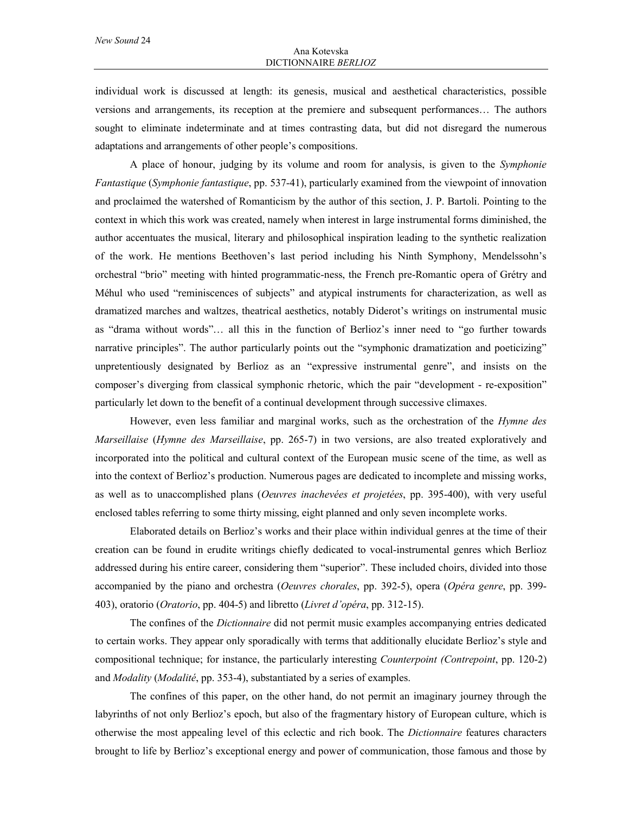individual work is discussed at length: its genesis, musical and aesthetical characteristics, possible versions and arrangements, its reception at the premiere and subsequent performances… The authors sought to eliminate indeterminate and at times contrasting data, but did not disregard the numerous adaptations and arrangements of other people's compositions.

A place of honour, judging by its volume and room for analysis, is given to the *Symphonie Fantastique* (*Symphonie fantastique*, pp. 537-41), particularly examined from the viewpoint of innovation and proclaimed the watershed of Romanticism by the author of this section, J. P. Bartoli. Pointing to the context in which this work was created, namely when interest in large instrumental forms diminished, the author accentuates the musical, literary and philosophical inspiration leading to the synthetic realization of the work. He mentions Beethoven's last period including his Ninth Symphony, Mendelssohn's orchestral "brio" meeting with hinted programmatic-ness, the French pre-Romantic opera of Grétry and Méhul who used "reminiscences of subjects" and atypical instruments for characterization, as well as dramatized marches and waltzes, theatrical aesthetics, notably Diderot's writings on instrumental music as "drama without words"… all this in the function of Berlioz's inner need to "go further towards narrative principles". The author particularly points out the "symphonic dramatization and poeticizing" unpretentiously designated by Berlioz as an "expressive instrumental genre", and insists on the composer's diverging from classical symphonic rhetoric, which the pair "development - re-exposition" particularly let down to the benefit of a continual development through successive climaxes.

However, even less familiar and marginal works, such as the orchestration of the *Hymne des Marseillaise* (*Hymne des Marseillaise*, pp. 265-7) in two versions, are also treated exploratively and incorporated into the political and cultural context of the European music scene of the time, as well as into the context of Berlioz's production. Numerous pages are dedicated to incomplete and missing works, as well as to unaccomplished plans (*Oeuvres inachevées et projetées*, pp. 395-400), with very useful enclosed tables referring to some thirty missing, eight planned and only seven incomplete works.

Elaborated details on Berlioz's works and their place within individual genres at the time of their creation can be found in erudite writings chiefly dedicated to vocal-instrumental genres which Berlioz addressed during his entire career, considering them "superior". These included choirs, divided into those accompanied by the piano and orchestra (*Oeuvres chorales*, pp. 392-5), opera (*Opéra genre*, pp. 399- 403), oratorio (*Oratorio*, pp. 404-5) and libretto (*Livret d'opéra*, pp. 312-15).

The confines of the *Dictionnaire* did not permit music examples accompanying entries dedicated to certain works. They appear only sporadically with terms that additionally elucidate Berlioz's style and compositional technique; for instance, the particularly interesting *Counterpoint (Contrepoint*, pp. 120-2) and *Modality* (*Modalité*, pp. 353-4), substantiated by a series of examples.

The confines of this paper, on the other hand, do not permit an imaginary journey through the labyrinths of not only Berlioz's epoch, but also of the fragmentary history of European culture, which is otherwise the most appealing level of this eclectic and rich book. The *Dictionnaire* features characters brought to life by Berlioz's exceptional energy and power of communication, those famous and those by